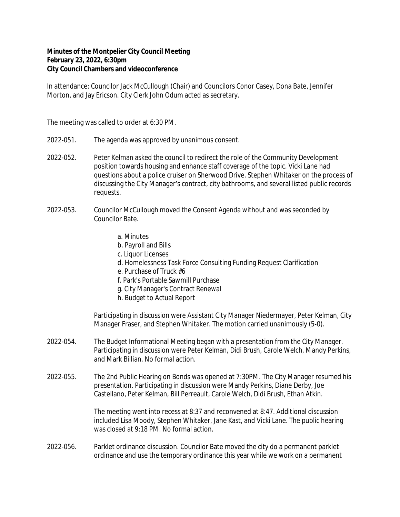## **Minutes of the Montpelier City Council Meeting February 23, 2022, 6:30pm City Council Chambers and videoconference**

In attendance: Councilor Jack McCullough (Chair) and Councilors Conor Casey, Dona Bate, Jennifer Morton, and Jay Ericson. City Clerk John Odum acted as secretary.

The meeting was called to order at 6:30 PM.

- 2022-051. The agenda was approved by unanimous consent.
- 2022-052. Peter Kelman asked the council to redirect the role of the Community Development position towards housing and enhance staff coverage of the topic. Vicki Lane had questions about a police cruiser on Sherwood Drive. Stephen Whitaker on the process of discussing the City Manager's contract, city bathrooms, and several listed public records requests.
- 2022-053. Councilor McCullough moved the Consent Agenda without and was seconded by Councilor Bate.
	- a. Minutes
	- b. Payroll and Bills
	- c. Liquor Licenses
	- d. Homelessness Task Force Consulting Funding Request Clarification
	- e. Purchase of Truck #6
	- f. Park's Portable Sawmill Purchase
	- g. City Manager's Contract Renewal
	- h. Budget to Actual Report

Participating in discussion were Assistant City Manager Niedermayer, Peter Kelman, City Manager Fraser, and Stephen Whitaker. The motion carried unanimously (5-0).

- 2022-054. The Budget Informational Meeting began with a presentation from the City Manager. Participating in discussion were Peter Kelman, Didi Brush, Carole Welch, Mandy Perkins, and Mark Billian. No formal action.
- 2022-055. The 2nd Public Hearing on Bonds was opened at 7:30PM. The City Manager resumed his presentation. Participating in discussion were Mandy Perkins, Diane Derby, Joe Castellano, Peter Kelman, Bill Perreault, Carole Welch, Didi Brush, Ethan Atkin.

The meeting went into recess at 8:37 and reconvened at 8:47. Additional discussion included Lisa Moody, Stephen Whitaker, Jane Kast, and Vicki Lane. The public hearing was closed at 9:18 PM. No formal action.

2022-056. Parklet ordinance discussion. Councilor Bate moved the city do a permanent parklet ordinance and use the temporary ordinance this year while we work on a permanent